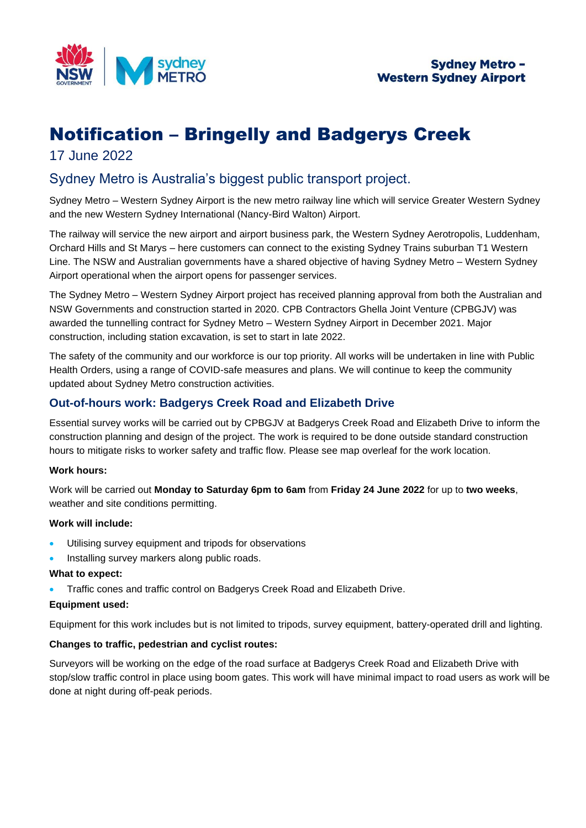

# Notification – Bringelly and Badgerys Creek

## 17 June 2022

# Sydney Metro is Australia's biggest public transport project.

Sydney Metro – Western Sydney Airport is the new metro railway line which will service Greater Western Sydney and the new Western Sydney International (Nancy-Bird Walton) Airport.

The railway will service the new airport and airport business park, the Western Sydney Aerotropolis, Luddenham, Orchard Hills and St Marys – here customers can connect to the existing Sydney Trains suburban T1 Western Line. The NSW and Australian governments have a shared objective of having Sydney Metro – Western Sydney Airport operational when the airport opens for passenger services.

The Sydney Metro – Western Sydney Airport project has received planning approval from both the Australian and NSW Governments and construction started in 2020. CPB Contractors Ghella Joint Venture (CPBGJV) was awarded the tunnelling contract for Sydney Metro – Western Sydney Airport in December 2021. Major construction, including station excavation, is set to start in late 2022.

The safety of the community and our workforce is our top priority. All works will be undertaken in line with Public Health Orders, using a range of COVID-safe measures and plans. We will continue to keep the community updated about Sydney Metro construction activities.

### **Out-of-hours work: Badgerys Creek Road and Elizabeth Drive**

Essential survey works will be carried out by CPBGJV at Badgerys Creek Road and Elizabeth Drive to inform the construction planning and design of the project. The work is required to be done outside standard construction hours to mitigate risks to worker safety and traffic flow. Please see map overleaf for the work location.

#### **Work hours:**

Work will be carried out **Monday to Saturday 6pm to 6am** from **Friday 24 June 2022** for up to **two weeks**, weather and site conditions permitting.

#### **Work will include:**

- Utilising survey equipment and tripods for observations
- Installing survey markers along public roads.

#### **What to expect:**

• Traffic cones and traffic control on Badgerys Creek Road and Elizabeth Drive.

#### **Equipment used:**

Equipment for this work includes but is not limited to tripods, survey equipment, battery-operated drill and lighting.

#### **Changes to traffic, pedestrian and cyclist routes:**

Surveyors will be working on the edge of the road surface at Badgerys Creek Road and Elizabeth Drive with stop/slow traffic control in place using boom gates. This work will have minimal impact to road users as work will be done at night during off-peak periods.